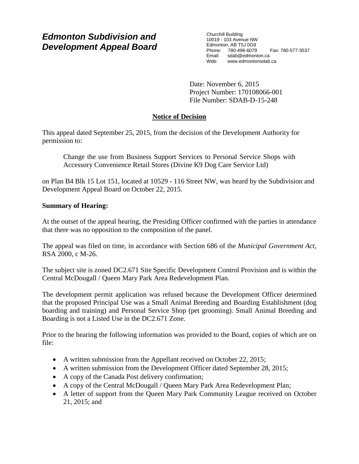# *Edmonton Subdivision and Development Appeal Board*

Churchill Building 10019 - 103 Avenue NW Edmonton, AB T5J 0G9 Phone: 780-496-6079 Fax: 780-577-3537 Email: sdab@edmonton.ca<br>Web: www.edmontonsdab www.edmontonsdab.ca

Date: November 6, 2015 Project Number: 170108066-001 File Number: SDAB-D-15-248

## **Notice of Decision**

This appeal dated September 25, 2015, from the decision of the Development Authority for permission to:

Change the use from Business Support Services to Personal Service Shops with Accessory Convenience Retail Stores (Divine K9 Dog Care Service Ltd)

on Plan B4 Blk 15 Lot 151, located at 10529 - 116 Street NW, was heard by the Subdivision and Development Appeal Board on October 22, 2015.

## **Summary of Hearing:**

At the outset of the appeal hearing, the Presiding Officer confirmed with the parties in attendance that there was no opposition to the composition of the panel.

The appeal was filed on time, in accordance with Section 686 of the *Municipal Government Act*, RSA 2000, c M-26.

The subject site is zoned DC2.671 Site Specific Development Control Provision and is within the Central McDougall / Queen Mary Park Area Redevelopment Plan.

The development permit application was refused because the Development Officer determined that the proposed Principal Use was a Small Animal Breeding and Boarding Establishment (dog boarding and training) and Personal Service Shop (pet grooming). Small Animal Breeding and Boarding is not a Listed Use in the DC2.671 Zone.

Prior to the hearing the following information was provided to the Board, copies of which are on file:

- A written submission from the Appellant received on October 22, 2015;
- A written submission from the Development Officer dated September 28, 2015;
- A copy of the Canada Post delivery confirmation;
- A copy of the Central McDougall / Queen Mary Park Area Redevelopment Plan;
- A letter of support from the Queen Mary Park Community League received on October 21, 2015; and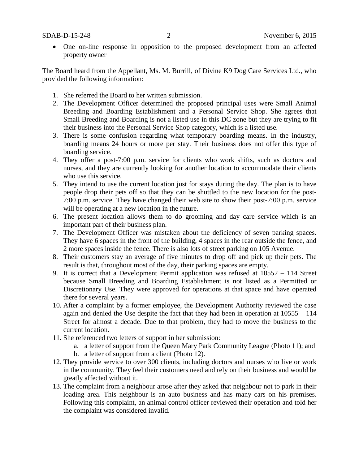• One on-line response in opposition to the proposed development from an affected property owner

The Board heard from the Appellant, Ms. M. Burrill, of Divine K9 Dog Care Services Ltd., who provided the following information:

- 1. She referred the Board to her written submission.
- 2. The Development Officer determined the proposed principal uses were Small Animal Breeding and Boarding Establishment and a Personal Service Shop. She agrees that Small Breeding and Boarding is not a listed use in this DC zone but they are trying to fit their business into the Personal Service Shop category, which is a listed use.
- 3. There is some confusion regarding what temporary boarding means. In the industry, boarding means 24 hours or more per stay. Their business does not offer this type of boarding service.
- 4. They offer a post-7:00 p.m. service for clients who work shifts, such as doctors and nurses, and they are currently looking for another location to accommodate their clients who use this service.
- 5. They intend to use the current location just for stays during the day. The plan is to have people drop their pets off so that they can be shuttled to the new location for the post-7:00 p.m. service. They have changed their web site to show their post-7:00 p.m. service will be operating at a new location in the future.
- 6. The present location allows them to do grooming and day care service which is an important part of their business plan.
- 7. The Development Officer was mistaken about the deficiency of seven parking spaces. They have 6 spaces in the front of the building, 4 spaces in the rear outside the fence, and 2 more spaces inside the fence. There is also lots of street parking on 105 Avenue.
- 8. Their customers stay an average of five minutes to drop off and pick up their pets. The result is that, throughout most of the day, their parking spaces are empty.
- 9. It is correct that a Development Permit application was refused at 10552 114 Street because Small Breeding and Boarding Establishment is not listed as a Permitted or Discretionary Use. They were approved for operations at that space and have operated there for several years.
- 10. After a complaint by a former employee, the Development Authority reviewed the case again and denied the Use despite the fact that they had been in operation at 10555 – 114 Street for almost a decade. Due to that problem, they had to move the business to the current location.
- 11. She referenced two letters of support in her submission:
	- a. a letter of support from the Queen Mary Park Community League (Photo 11); and
		- b. a letter of support from a client (Photo 12).
- 12. They provide service to over 300 clients, including doctors and nurses who live or work in the community. They feel their customers need and rely on their business and would be greatly affected without it.
- 13. The complaint from a neighbour arose after they asked that neighbour not to park in their loading area. This neighbour is an auto business and has many cars on his premises. Following this complaint, an animal control officer reviewed their operation and told her the complaint was considered invalid.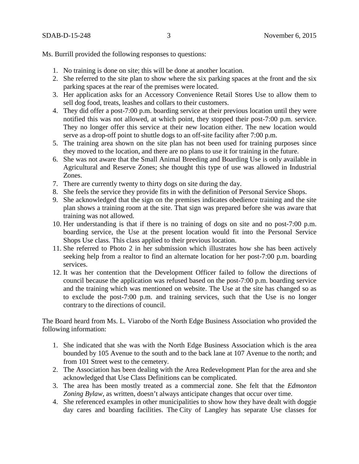Ms. Burrill provided the following responses to questions:

- 1. No training is done on site; this will be done at another location.
- 2. She referred to the site plan to show where the six parking spaces at the front and the six parking spaces at the rear of the premises were located.
- 3. Her application asks for an Accessory Convenience Retail Stores Use to allow them to sell dog food, treats, leashes and collars to their customers.
- 4. They did offer a post-7:00 p.m. boarding service at their previous location until they were notified this was not allowed, at which point, they stopped their post-7:00 p.m. service. They no longer offer this service at their new location either. The new location would serve as a drop-off point to shuttle dogs to an off-site facility after 7:00 p.m.
- 5. The training area shown on the site plan has not been used for training purposes since they moved to the location, and there are no plans to use it for training in the future.
- 6. She was not aware that the Small Animal Breeding and Boarding Use is only available in Agricultural and Reserve Zones; she thought this type of use was allowed in Industrial Zones.
- 7. There are currently twenty to thirty dogs on site during the day.
- 8. She feels the service they provide fits in with the definition of Personal Service Shops.
- 9. She acknowledged that the sign on the premises indicates obedience training and the site plan shows a training room at the site. That sign was prepared before she was aware that training was not allowed.
- 10. Her understanding is that if there is no training of dogs on site and no post-7:00 p.m. boarding service, the Use at the present location would fit into the Personal Service Shops Use class. This class applied to their previous location.
- 11. She referred to Photo 2 in her submission which illustrates how she has been actively seeking help from a realtor to find an alternate location for her post-7:00 p.m. boarding services.
- 12. It was her contention that the Development Officer failed to follow the directions of council because the application was refused based on the post-7:00 p.m. boarding service and the training which was mentioned on website. The Use at the site has changed so as to exclude the post-7:00 p.m. and training services, such that the Use is no longer contrary to the directions of council.

The Board heard from Ms. L. Viarobo of the North Edge Business Association who provided the following information:

- 1. She indicated that she was with the North Edge Business Association which is the area bounded by 105 Avenue to the south and to the back lane at 107 Avenue to the north; and from 101 Street west to the cemetery.
- 2. The Association has been dealing with the Area Redevelopment Plan for the area and she acknowledged that Use Class Definitions can be complicated.
- 3. The area has been mostly treated as a commercial zone. She felt that the *Edmonton Zoning Bylaw*, as written, doesn't always anticipate changes that occur over time.
- 4. She referenced examples in other municipalities to show how they have dealt with doggie day cares and boarding facilities. The City of Langley has separate Use classes for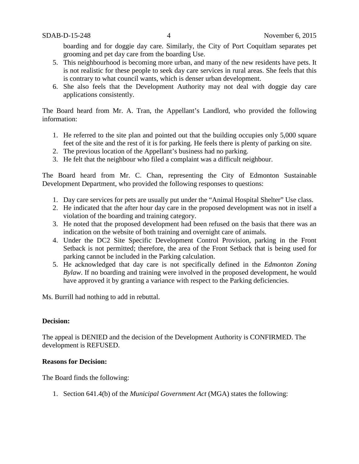boarding and for doggie day care. Similarly, the City of Port Coquitlam separates pet grooming and pet day care from the boarding Use.

- 5. This neighbourhood is becoming more urban, and many of the new residents have pets. It is not realistic for these people to seek day care services in rural areas. She feels that this is contrary to what council wants, which is denser urban development.
- 6. She also feels that the Development Authority may not deal with doggie day care applications consistently.

The Board heard from Mr. A. Tran, the Appellant's Landlord, who provided the following information:

- 1. He referred to the site plan and pointed out that the building occupies only 5,000 square feet of the site and the rest of it is for parking. He feels there is plenty of parking on site.
- 2. The previous location of the Appellant's business had no parking.
- 3. He felt that the neighbour who filed a complaint was a difficult neighbour.

The Board heard from Mr. C. Chan, representing the City of Edmonton Sustainable Development Department, who provided the following responses to questions:

- 1. Day care services for pets are usually put under the "Animal Hospital Shelter" Use class.
- 2. He indicated that the after hour day care in the proposed development was not in itself a violation of the boarding and training category.
- 3. He noted that the proposed development had been refused on the basis that there was an indication on the website of both training and overnight care of animals.
- 4. Under the DC2 Site Specific Development Control Provision, parking in the Front Setback is not permitted; therefore, the area of the Front Setback that is being used for parking cannot be included in the Parking calculation.
- 5. He acknowledged that day care is not specifically defined in the *Edmonton Zoning Bylaw*. If no boarding and training were involved in the proposed development, he would have approved it by granting a variance with respect to the Parking deficiencies.

Ms. Burrill had nothing to add in rebuttal.

## **Decision:**

The appeal is DENIED and the decision of the Development Authority is CONFIRMED. The development is REFUSED.

#### **Reasons for Decision:**

The Board finds the following:

1. Section 641.4(b) of the *Municipal Government Act* (MGA) states the following: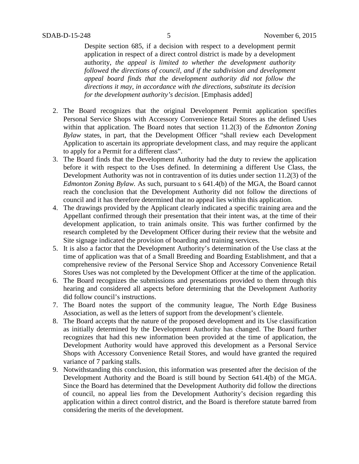Despite section 685, if a decision with respect to a development permit application in respect of a direct control district is made by a development authority, *the appeal is limited to whether the development authority followed the directions of council, and if the subdivision and development appeal board finds that the development authority did not follow the directions it may, in accordance with the directions, substitute its decision for the development authority's decision.* [Emphasis added]

- 2. The Board recognizes that the original Development Permit application specifies Personal Service Shops with Accessory Convenience Retail Stores as the defined Uses within that application. The Board notes that section 11.2(3) of the *Edmonton Zoning Bylaw* states, in part, that the Development Officer "shall review each Development Application to ascertain its appropriate development class, and may require the applicant to apply for a Permit for a different class".
- 3. The Board finds that the Development Authority had the duty to review the application before it with respect to the Uses defined. In determining a different Use Class, the Development Authority was not in contravention of its duties under section 11.2(3) of the *Edmonton Zoning Bylaw.* As such, pursuant to s 641.4(b) of the MGA, the Board cannot reach the conclusion that the Development Authority did not follow the directions of council and it has therefore determined that no appeal lies within this application.
- 4. The drawings provided by the Applicant clearly indicated a specific training area and the Appellant confirmed through their presentation that their intent was, at the time of their development application, to train animals onsite. This was further confirmed by the research completed by the Development Officer during their review that the website and Site signage indicated the provision of boarding and training services.
- 5. It is also a factor that the Development Authority's determination of the Use class at the time of application was that of a Small Breeding and Boarding Establishment, and that a comprehensive review of the Personal Service Shop and Accessory Convenience Retail Stores Uses was not completed by the Development Officer at the time of the application.
- 6. The Board recognizes the submissions and presentations provided to them through this hearing and considered all aspects before determining that the Development Authority did follow council's instructions.
- 7. The Board notes the support of the community league, The North Edge Business Association, as well as the letters of support from the development's clientele.
- 8. The Board accepts that the nature of the proposed development and its Use classification as initially determined by the Development Authority has changed. The Board further recognizes that had this new information been provided at the time of application, the Development Authority would have approved this development as a Personal Service Shops with Accessory Convenience Retail Stores, and would have granted the required variance of 7 parking stalls.
- 9. Notwithstanding this conclusion, this information was presented after the decision of the Development Authority and the Board is still bound by Section 641.4(b) of the MGA. Since the Board has determined that the Development Authority did follow the directions of council, no appeal lies from the Development Authority's decision regarding this application within a direct control district, and the Board is therefore statute barred from considering the merits of the development.